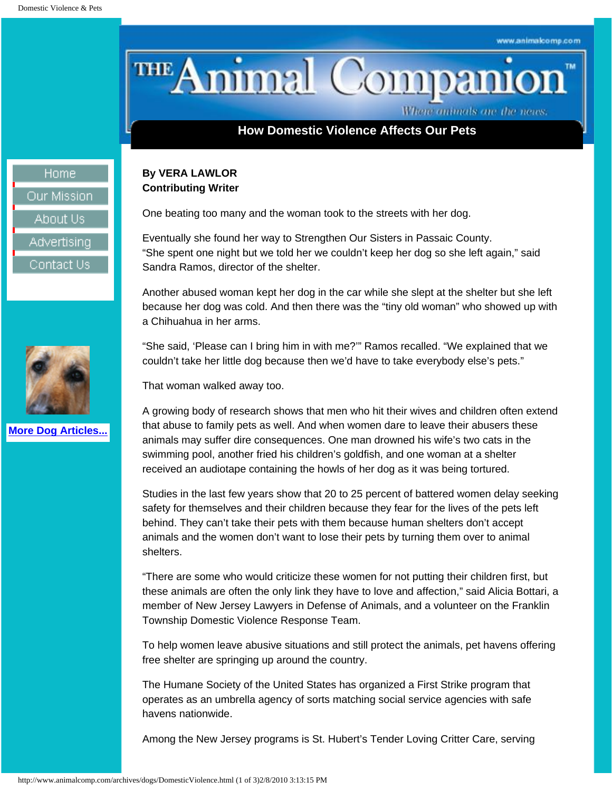THE Animal Companio TM

Where animals are the news.

# **How Domestic Violence Affects Our Pets**

## **By VERA LAWLOR Contributing Writer**

One beating too many and the woman took to the streets with her dog.

Eventually she found her way to Strengthen Our Sisters in Passaic County. "She spent one night but we told her we couldn't keep her dog so she left again," said Sandra Ramos, director of the shelter.

Another abused woman kept her dog in the car while she slept at the shelter but she left because her dog was cold. And then there was the "tiny old woman" who showed up with a Chihuahua in her arms.

"She said, 'Please can I bring him in with me?'" Ramos recalled. "We explained that we couldn't take her little dog because then we'd have to take everybody else's pets."

That woman walked away too.

A growing body of research shows that men who hit their wives and children often extend that abuse to family pets as well. And when women dare to leave their abusers these animals may suffer dire consequences. One man drowned his wife's two cats in the swimming pool, another fried his children's goldfish, and one woman at a shelter received an audiotape containing the howls of her dog as it was being tortured.

Studies in the last few years show that 20 to 25 percent of battered women delay seeking safety for themselves and their children because they fear for the lives of the pets left behind. They can't take their pets with them because human shelters don't accept animals and the women don't want to lose their pets by turning them over to animal shelters.

"There are some who would criticize these women for not putting their children first, but these animals are often the only link they have to love and affection," said Alicia Bottari, a member of New Jersey Lawyers in Defense of Animals, and a volunteer on the Franklin Township Domestic Violence Response Team.

To help women leave abusive situations and still protect the animals, pet havens offering free shelter are springing up around the country.

The Humane Society of the United States has organized a First Strike program that operates as an umbrella agency of sorts matching social service agencies with safe havens nationwide.

Among the New Jersey programs is St. Hubert's Tender Loving Critter Care, serving

Home Our Mission About Us Advertising Contact Us



**[More Dog Articles...](http://www.animalcomp.com/Dogs.html)**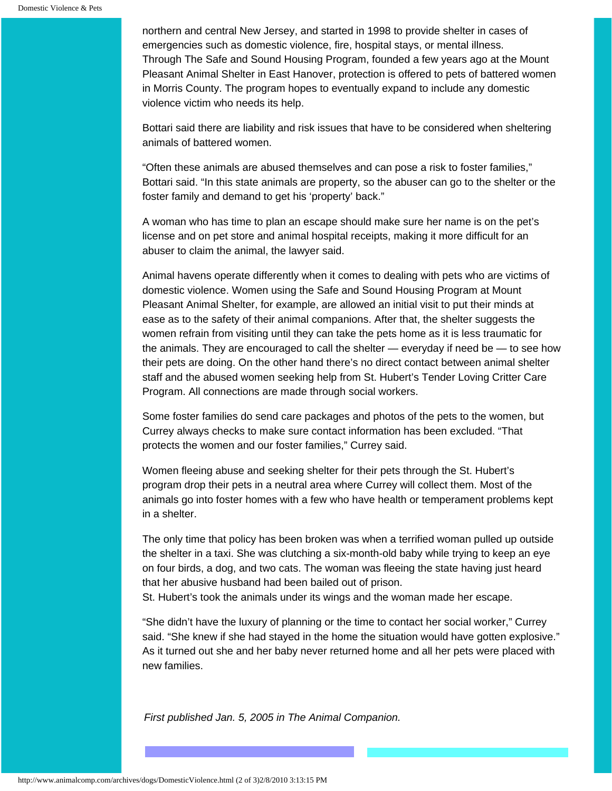northern and central New Jersey, and started in 1998 to provide shelter in cases of emergencies such as domestic violence, fire, hospital stays, or mental illness. Through The Safe and Sound Housing Program, founded a few years ago at the Mount Pleasant Animal Shelter in East Hanover, protection is offered to pets of battered women in Morris County. The program hopes to eventually expand to include any domestic violence victim who needs its help.

Bottari said there are liability and risk issues that have to be considered when sheltering animals of battered women.

"Often these animals are abused themselves and can pose a risk to foster families," Bottari said. "In this state animals are property, so the abuser can go to the shelter or the foster family and demand to get his 'property' back."

A woman who has time to plan an escape should make sure her name is on the pet's license and on pet store and animal hospital receipts, making it more difficult for an abuser to claim the animal, the lawyer said.

Animal havens operate differently when it comes to dealing with pets who are victims of domestic violence. Women using the Safe and Sound Housing Program at Mount Pleasant Animal Shelter, for example, are allowed an initial visit to put their minds at ease as to the safety of their animal companions. After that, the shelter suggests the women refrain from visiting until they can take the pets home as it is less traumatic for the animals. They are encouraged to call the shelter — everyday if need be — to see how their pets are doing. On the other hand there's no direct contact between animal shelter staff and the abused women seeking help from St. Hubert's Tender Loving Critter Care Program. All connections are made through social workers.

Some foster families do send care packages and photos of the pets to the women, but Currey always checks to make sure contact information has been excluded. "That protects the women and our foster families," Currey said.

Women fleeing abuse and seeking shelter for their pets through the St. Hubert's program drop their pets in a neutral area where Currey will collect them. Most of the animals go into foster homes with a few who have health or temperament problems kept in a shelter.

The only time that policy has been broken was when a terrified woman pulled up outside the shelter in a taxi. She was clutching a six-month-old baby while trying to keep an eye on four birds, a dog, and two cats. The woman was fleeing the state having just heard that her abusive husband had been bailed out of prison.

St. Hubert's took the animals under its wings and the woman made her escape.

"She didn't have the luxury of planning or the time to contact her social worker," Currey said. "She knew if she had stayed in the home the situation would have gotten explosive." As it turned out she and her baby never returned home and all her pets were placed with new families.

*First published Jan. 5, 2005 in The Animal Companion.*